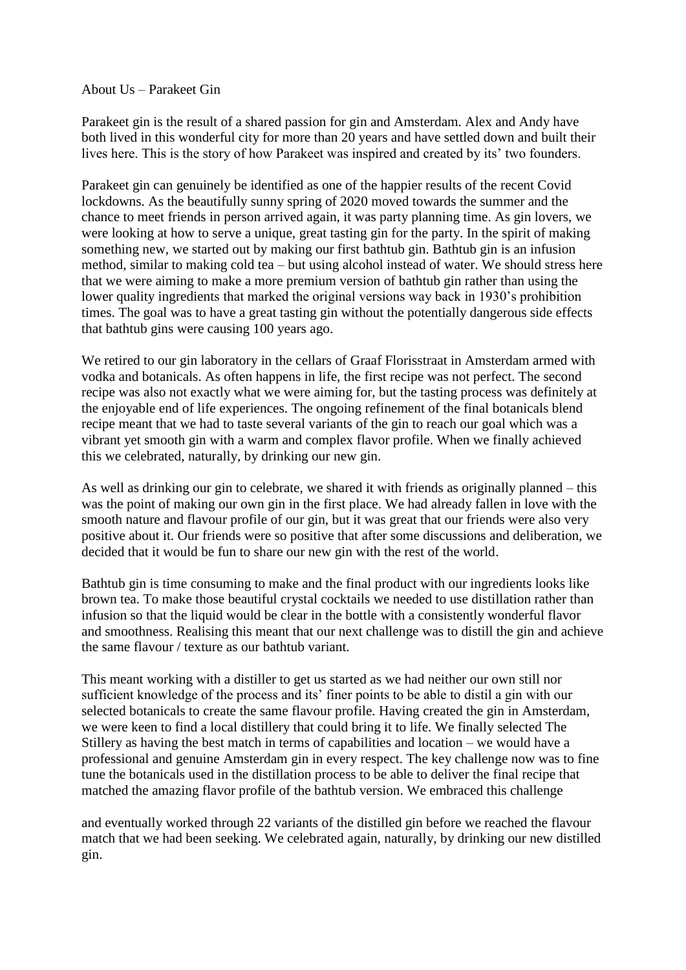About Us – Parakeet Gin

Parakeet gin is the result of a shared passion for gin and Amsterdam. Alex and Andy have both lived in this wonderful city for more than 20 years and have settled down and built their lives here. This is the story of how Parakeet was inspired and created by its' two founders.

Parakeet gin can genuinely be identified as one of the happier results of the recent Covid lockdowns. As the beautifully sunny spring of 2020 moved towards the summer and the chance to meet friends in person arrived again, it was party planning time. As gin lovers, we were looking at how to serve a unique, great tasting gin for the party. In the spirit of making something new, we started out by making our first bathtub gin. Bathtub gin is an infusion method, similar to making cold tea – but using alcohol instead of water. We should stress here that we were aiming to make a more premium version of bathtub gin rather than using the lower quality ingredients that marked the original versions way back in 1930's prohibition times. The goal was to have a great tasting gin without the potentially dangerous side effects that bathtub gins were causing 100 years ago.

We retired to our gin laboratory in the cellars of Graaf Florisstraat in Amsterdam armed with vodka and botanicals. As often happens in life, the first recipe was not perfect. The second recipe was also not exactly what we were aiming for, but the tasting process was definitely at the enjoyable end of life experiences. The ongoing refinement of the final botanicals blend recipe meant that we had to taste several variants of the gin to reach our goal which was a vibrant yet smooth gin with a warm and complex flavor profile. When we finally achieved this we celebrated, naturally, by drinking our new gin.

As well as drinking our gin to celebrate, we shared it with friends as originally planned – this was the point of making our own gin in the first place. We had already fallen in love with the smooth nature and flavour profile of our gin, but it was great that our friends were also very positive about it. Our friends were so positive that after some discussions and deliberation, we decided that it would be fun to share our new gin with the rest of the world.

Bathtub gin is time consuming to make and the final product with our ingredients looks like brown tea. To make those beautiful crystal cocktails we needed to use distillation rather than infusion so that the liquid would be clear in the bottle with a consistently wonderful flavor and smoothness. Realising this meant that our next challenge was to distill the gin and achieve the same flavour / texture as our bathtub variant.

This meant working with a distiller to get us started as we had neither our own still nor sufficient knowledge of the process and its' finer points to be able to distil a gin with our selected botanicals to create the same flavour profile. Having created the gin in Amsterdam, we were keen to find a local distillery that could bring it to life. We finally selected The Stillery as having the best match in terms of capabilities and location – we would have a professional and genuine Amsterdam gin in every respect. The key challenge now was to fine tune the botanicals used in the distillation process to be able to deliver the final recipe that matched the amazing flavor profile of the bathtub version. We embraced this challenge

and eventually worked through 22 variants of the distilled gin before we reached the flavour match that we had been seeking. We celebrated again, naturally, by drinking our new distilled gin.